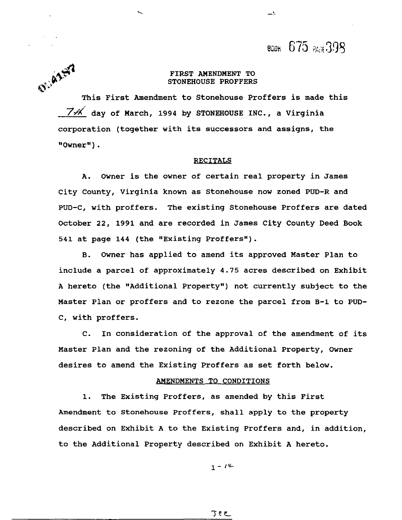воек 675 ват 398

 $\Box$ 

#### FIRST AMENDMENT TO STONEHOUSE PROFFERS

OF AZER This First Amendment to Stonehouse Proffers is made this  $74$  dav of March, 1994 by STONEHOUSE INC., a Virginia corporation (together with its successors and assigns, the  $"0$ wner $")$ .

#### RECITALS

**A.** Owner is the owner of certain real property in James City County, Virginia known as Stonehouse now zoned PUD-R and PUD-C, with proffers. The existing Stonehouse Proffers are dated October 22, 1991 and are recorded in James City County Deed Book 541 at page 144 (the "Existing Proffers').

B. Owner has applied to amend its approved Master Plan to include a parcel of approximately 4.75 acres described on Exhibit **A** hereto (the "Additional Property") not currently subject to the Master Plan or proffers and to rezone the parcel from B-1 to PUD-C, with proffers.

C. In consideration of the approval of the amendment of its Master Plan and the rezoning of the Additional Property, Owner desires to amend the Existing Proffers as set forth below.

#### AMENDMENTS TO CONDITIONS

1. The Existing Proffers, as amended by this First Amendment to Stonehouse Proffers, shall apply to the property described on Exhibit A to the Existing Proffers and, in addition, to the Additional Property described on Exhibit A hereto.

 $1 - 14$ 

**Jee**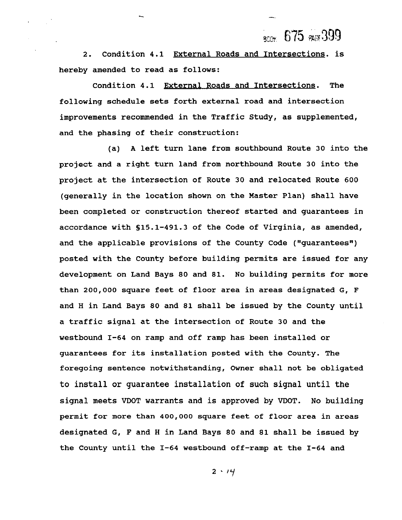ROOK 675  $R$ 675 2009

2. Condition 4.1 External Roads and Intersections. is hereby amended to read as follows:

Condition 4.1 External Roads and Intersections. The following schedule sets forth external road and intersection improvements recommended in the Traffic Study, as supplemented, and the phasing of their construction:

(a) **A** left turn lane from southbound Route 30 into the project and a right turn land from northbound Route 30 into the project at the intersection of Route 30 and relocated Route 600 (generally in the location shown on the Master Plan) shall have been completed or construction thereof started and guarantees in accordance with S15.1-491.3 of the Code of Virginia, as amended, and the applicable provisions of the County Code ("guarantees") posted with the County before building permits are issued for any development on Land Bays 80 and 81. No building permits for more than 200,000 square feet of floor area in areas designated G, F and H in Land Bays 80 and 81 shall be issued by the County until a traffic signal at the intersection of Route 30 and the westbound 1-64 on ramp and off ramp has been installed or guarantees for its installation posted with the County. The foregoing sentence notwithstanding, Owner shall not be obligated to install or guarantee installation of such signal until the signal meets VDOT warrants and is approved by VDOT. No building permit for more than 400,000 square feet of floor area in areas designated G, F and H in Land Bays 80 and 81 shall be issued by the County until the 1-64 westbound off-ramp at the 1-64 and

 $2 \cdot 14$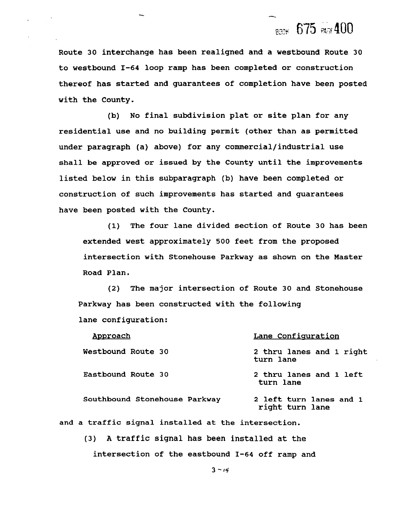# **RGOW** 675 PAGE 400

**Route 30 interchange has been realigned and a westbound Route 30 to westbound 1-64 loop ramp has been completed or construction thereof has started and guarantees of completion have been posted with the County.** 

**(b) No final subdivision plat or site plan for any residential use and no building permit (other than as permitted under paragraph (a) above) for any commercial/industrial use shall be approved or issued by the County until the improvements listed below in this subparagraph (b) have been completed or construction of such improvements has started and guarantees have been posted with the County.** 

**(1) The four lane divided section of Route 30 has been extended west approximately 500 feet from the proposed intersection with Stonehouse Parkway as shown on the Master Road Plan.** 

**(2) The major intersection of Route 30 and Stonehouse Parkway has been constructed with the following lane configuration:** 

| Approach                                            | Lane Configuration                         |
|-----------------------------------------------------|--------------------------------------------|
| Westbound Route 30                                  | 2 thru lanes and 1 right<br>turn lane      |
| Eastbound Route 30                                  | 2 thru lanes and 1 left<br>turn lane       |
| Southbound Stonehouse Parkway                       | 2 left turn lanes and 1<br>right turn lane |
| and a traffic signal installed at the intersection. |                                            |

**(3) A traffic signal has been installed at the intersection of the eastbound 1-64 off ramp and**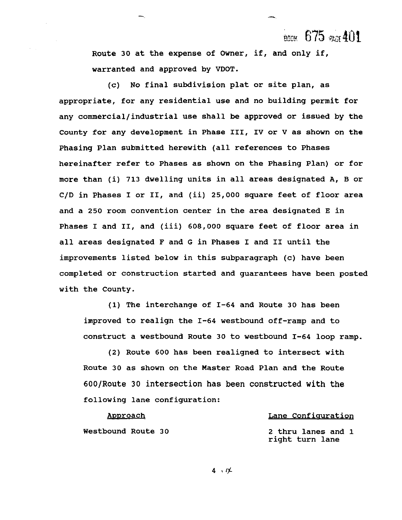BOOK 675  $_{ROF}$ 401

**Route 30 at the expense of Owner, if, and only if, warranted and approved by VDOT.** 

**(c) No final subdivision plat or site plan, as appropriate, for any residential use and no building permit for**  any commercial/industrial use shall be approved or issued by the **County for any development in Phase 111, IV or V as shown on the Phasing Plan submitted herewith (all references to Phases hereinafter refer to Phases as shown on the Phasing Plan) or for more than (i) 713 dwelling units in all areas designated A, B or C/D in Phases I or 11, and (ii) 25,000 square feet of floor area and a 250 room convention center in the area designated E in Phases I and 11, and (iii) 608,000 square feet of floor area in all areas designated F and G in Phases I and I1 until the improvements listed below in this subparagraph (c) have been completed or construction started and guarantees have been posted with the County.** 

**(1) The interchange of 1-64 and Route 30 has been improved to realign the 1-64 westbound off-ramp and to construct a westbound Route 30 to westbound 1-64 loop ramp.** 

**(2) Route 600 has been realigned to intersect with Route 30 as shown on the Master Road Plan and the Route 600JRoute 30 intersection has been constructed with the following lane configuration:** 

**Approach** 

#### **Lane Configuration**

**Westbound Route 30** 

**2 thru lanes and 1 right turn lane**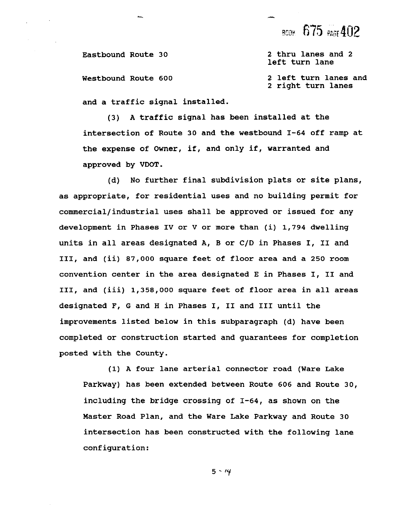**Eastbound Route 30** 

**Westbound Route 600** 

**2 thru lanes and 2 left turn lane** 

**2 left turn lanes and 2 right turn lanes** 

**and a traffic signal installed.** 

**(3) A traffic signal has been installed at the intersection of Route 30 and the westbound 1-64 off ramp at the expense of Owner, if, and only if, warranted and approved by VDOT.** 

**(d) No further final subdivision plats or site plans, as appropriate, for residential uses and no building permit for commercial/industrial uses shall be approved or issued for any development in Phases IV or V or more than (i) 1,794 dwelling units in all areas designated A, B or C/D in Phases I, I1 and 111, and (ii) 87,000 square feet of floor area and a 250 room convention center in the area designated E in Phases I, I1 and 111, and (iii) 1,358,000 square feet of floor area in all areas designated F, G and H in Phases I, I1 and I11 until the improvements listed below in this subparagraph (d) have been completed or construction started and guarantees for completion posted with the County.** 

**(1) A four lane arterial connector road (Ware Lake Parkway) has been extended between Route 606 and Route 30, including the bridge crossing of 1-64, as shown on the Master Road Plan, and the Ware Lake Parkway and Route 30 intersection has been constructed with the following lane configuration:**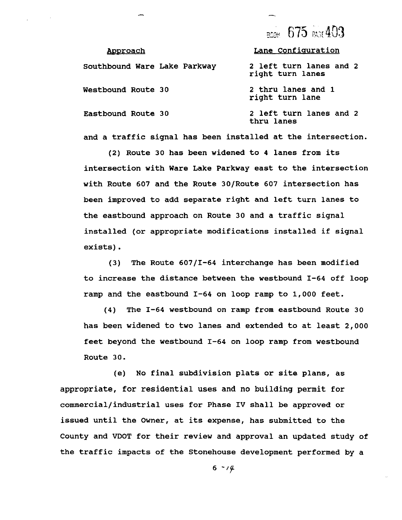#### **Approach Lane Configuration**

| Southbound Ware Lake Parkway | 2 left turn lanes and 2<br>right turn lanes |
|------------------------------|---------------------------------------------|
| <b>Westbound Route 30</b>    | 2 thru lanes and 1<br>right turn lane       |
| Eastbound Route 30           | 2 left turn lanes and 2<br>thru lanes       |

**and a traffic signal has been installed at the intersection.** 

**(2) Route 30 has been widened to 4 lanes from its intersection with Ware Lake Parkway east to the intersection with Route 607 and the Route 3OIRoute 607 intersection has been improved to add separate right and left turn lanes to the eastbound approach on Route 30 and a traffic signal installed (or appropriate modifications installed if signal exists).** 

**(3) The Route 60711-64 interchange has been modified to increase the distance between the westbound 1-64 off loop ramp and the eastbound 1-64 on loop ramp to 1,000 feet.** 

**(4) The 1-64 westbound on ramp from eastbound Route 30 has been widened to two lanes and extended to at least 2,000 feet beyond the westbound 1-64 on loop ramp from westbound Route 30.** 

**(e) No final subdivision plats or site plans, as appropriate, for residential uses and no building permit for commercial/industrial uses for Phase IV shall be approved or issued until the Owner, at its expense, has submitted to the County and VDOT for their review and approval an updated study of the traffic impacts of the Stonehouse development performed by a**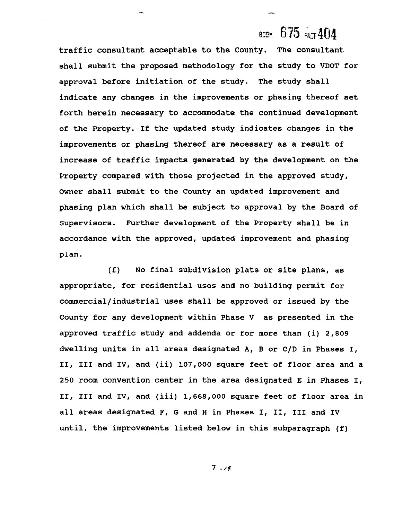#### $675$  as 404 **BOOK**

traffic consultant acceptable to the County. The consultant shall submit the proposed methodology for the study to VDOT for approval before initiation of the study. The study shall indicate any changes in the improvements or phasing thereof set forth herein necessary to accommodate the continued development of the Property. If the updated study indicates changes in the improvements or phasing thereof are necessary as a result of increase of traffic impacts generated by the development on the Property compared with those projected in the approved study, Owner shall submit to the County an updated improvement and phasing plan which shall be subject to approval by the Board of Supervisors. Further development of the Property shall be in accordance with the approved, updated improvement and phasing plan.

(f) No final subdivision plats or site plans, as appropriate, for residential uses and no building permit for commercial/industrial uses shall be approved or issued by the County for any development within Phase V as presented in the approved traffic study and addenda or for more than (i) 2,809 dwelling units in all areas designated A, B or C/D in Phases I, 11, I11 and IV, and (ii) 107,000 square feet of floor area and a 250 room convention center in the area designated E in Phases I, 11, I11 and IV, and (iii) 1,668,000 square feet of floor area in all areas designated F, G and H in Phases I, 11, I11 and IV until, the improvements listed below in this subparagraph (f)

 $7.14$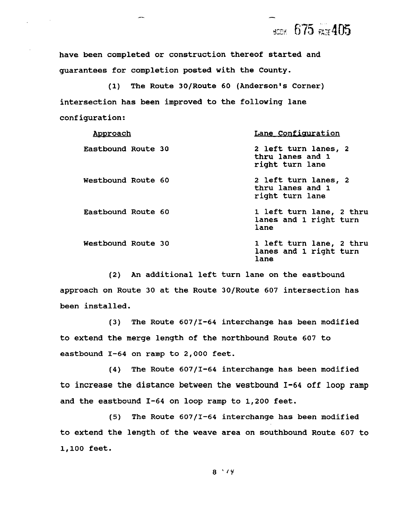всек 675 газ 405

**have been completed or construction thereof started and guarantees for completion posted with the County.** 

**(1) The Route 30/Route 60 (Anderson's Corner) intersection has been improved to the following lane configuration:** 

| <u>Approach</u>    | Lane Configuration                                          |
|--------------------|-------------------------------------------------------------|
| Eastbound Route 30 | 2 left turn lanes, 2<br>thru lanes and 1<br>right turn lane |
| Westbound Route 60 | 2 left turn lanes, 2<br>thru lanes and 1<br>right turn lane |
| Eastbound Route 60 | 1 left turn lane, 2 thru<br>lanes and 1 right turn<br>lane  |
| Westbound Route 30 | 1 left turn lane, 2 thru<br>lanes and 1 right turn<br>lane  |

**(2) An additional left turn lane on the eastbound approach on Route 30 at the Route 30/Route 607 intersection has been installed.** 

**(3) The Route 607/I-64 interchange has been modified to extend the merge length of the northbound Route 607 to eastbound 1-64 on ramp to 2,000 feet.** 

**(4) The Route 607/I-64 interchange has been modified**  to increase the distance between the westbound 1-64 off loop ramp **and the eastbound 1-64 on loop ramp to 1,200 feet.** 

**(5) The Route 607/I-64 interchange has been modified to extend the length of the weave area on southbound Route 607 to 1,100 feet.**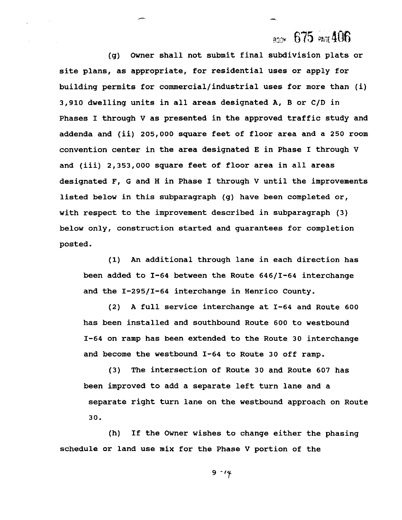### $_{\rm R00k}$  675  $_{\rm R00}$ 406

**(g) Owner shall not submit final subdivision plats or site plans, as appropriate, for residential uses or apply for building permits for commercial/industrial uses for more than (i) 3,910 dwelling units in all areas designated A, B or C/D in Phases I through V as presented in the approved traffic study and addenda and (ii) 205,000 square feet of floor area and a 250 room convention center in the area designated E in Phase I through V and (iii) 2,353,000 square feet of floor area in all areas designated F, G and H in Phase I through V until the improvements listed below in this subparagraph (g) have been completed or, with respect to the improvement described in subparagraph (3) below only, construction started and guarantees for completion posted.** 

**(1) An additional through lane in each direction has been added to 1-64 between the Route 64611-64 interchange and the 1-29511-64 interchange in Henrico County.** 

**(2) A full service interchange at 1-64 and Route 600 has been installed and southbound Route 600 to westbound 1-64 on ramp has been extended to the Route 30 interchange and become the westbound 1-64 to Route 30 off ramp.** 

**(3) The intersection of Route 30 and Route 607 has been improved to add a separate left turn lane and a separate right turn lane on the westbound approach on Route 30.** 

**(h) If the Owner wishes to change either the phasing schedule or land use mix for the Phase V portion of the**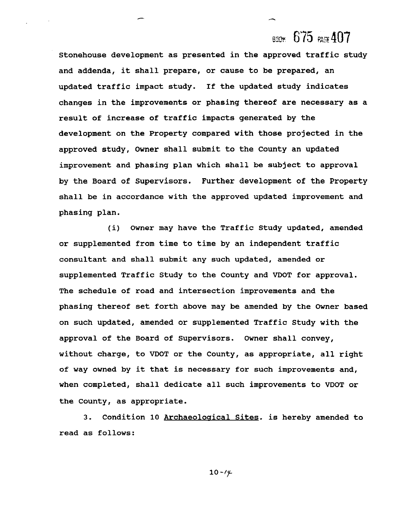Stonehouse development as presented in the approved traffic study and addenda, it shall prepare, or cause to be prepared, an updated traffic impact study. If the updated study indicates changes in the improvements or phasing thereof are necessary as a result of increase of traffic impacts generated by the development on the Property compared with those projected in the approved study, Owner shall submit to the County an updated improvement and phasing plan which shall be subject to approval by the Board of Supervisors. Further development of the Property shall be in accordance with the approved updated improvement and phasing plan.

(i) Owner may have the Traffic Study updated, amended or supplemented from time to time by an independent traffic consultant and shall submit any such updated, amended or supplemented Traffic Study to the County and VDOT for approval. The schedule of road and intersection improvements and the phasing thereof set forth above may be amended by the Owner based on such updated, amended or supplemented Traffic Study with the approval of the Board of Supervisors. Owner shall convey, without charge, to VDOT or the County, as appropriate, all right of way owned by it that is necessary for such improvements and, when completed, shall dedicate all such improvements to VDOT or the County, as appropriate.

3. Condition 10 Archaeological Sites. is hereby amended to read as follows: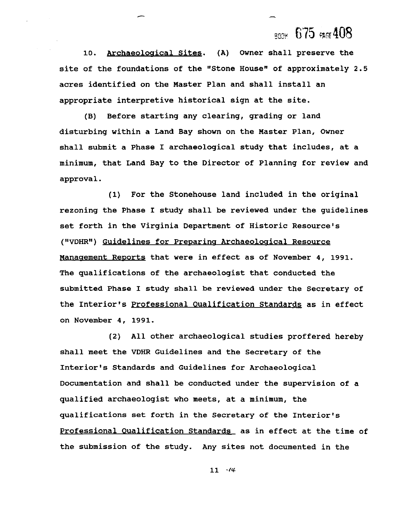**lo. Archaeoloaical Sites. (A) Owner shall preserve the**  site of the foundations of the "Stone House" of approximately 2.5 **acres identified on the Master Plan and shall install an appropriate interpretive historical sign at the site.** 

**(B) Before starting any clearing, grading or land disturbing within a Land Bay shown on the Master Plan, Owner shall submit a Phase I archaeological study that includes, at a minimum, that Land Bay to the Director of Planning for review and approval.** 

**(1) For the Stonehouse land included in the original rezoning the Phase I study shall be reviewed under the guidelines set forth in the Virginia Department of Historic Resource's**  ("VDHR") Guidelines for Preparing Archaeological Resource Management Reports that were in effect as of November 4, 1991. **The qualifications of the archaeologist that conducted the submitted Phase I study shall be reviewed under the Secretary of the Interior's Professional Oualification Standards as in effect on November 4, 1991.** 

**(2) All other archaeological studies proffered hereby shall meet the VDHR Guidelines and the Secretary of the Interior's Standards and Guidelines for Archaeological Documentation and shall be conducted under the supervision of a qualified archaeologist who meets, at a minimum, the qualifications set forth in the Secretary of the Interior's Professional Oualification Standards as in effect at the time of the submission of the study. Any sites not documented in the**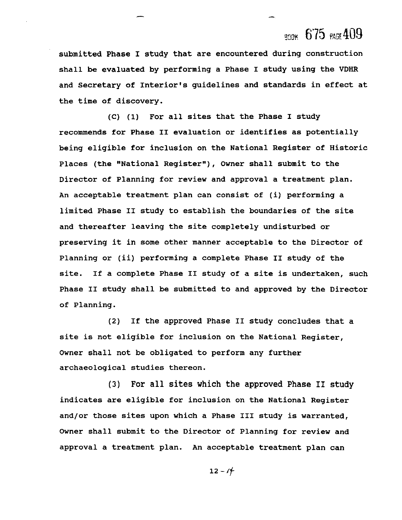**submitted Phase I study that are encountered during construction shall be evaluated by performing a Phase I study using the VDHR and Secretary of Interior's guidelines and standards in effect at the time of discovery.** 

**(C) (1) For all sites that the Phase I study recommends for Phase I1 evaluation or identifies as potentially being eligible for inclusion on the National Register of Historic**  Places (the "National Register"), Owner shall submit to the **Director of Planning for review and approval a treatment plan. An acceptable treatment plan can consist of (i) performing a limited Phase I1 study to establish the boundaries of the site and thereafter leaving the site completely undisturbed or preserving it in some other manner acceptable to the Director of Planning or (ii) performing a complete Phase I1 study of the site. If a complete Phase I1 study of a site is undertaken, such Phase I1 study shall be submitted to and approved by the Director of Planning.** 

**(2) If the approved Phase I1 study concludes that a site is not eligible for inclusion on the National Register, Owner shall not be obligated to perform any further archaeological studies thereon.** 

**(3) For all sites which the approved Phase I1 study indicates are eligible for inclusion on the National Register and/or those sites upon which a Phase I11 study is warranted, Owner shall submit to the Director of Planning for review and approval a treatment plan. An acceptable treatment plan can**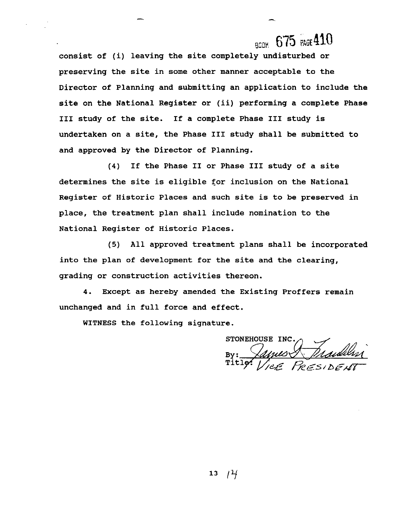**consist of (i) leaving the site completely undisturbed or preserving the site in some other manner acceptable to the Director of Planning and submitting an application to include the site on the National Register or (ii) performing a complete Phase I11 study of the site. If a complete Phase I11 study is undertaken on a site, the Phase I11 study shall be submitted to and approved by the Director of Planning.** 

**(4) If the Phase I1 or Phase I11 study of a site determines the site is eligible for inclusion on the National Register of Historic Places and such site is to be preserved in place, the treatment plan shall include nomination to the National Register of Historic Places.** 

**(5) All approved treatment plans shall be incorporated into the plan of development for the site and the clearing, grading or construction activities thereon.** 

**4. Except as hereby amended the Existing Proffers remain unchanged and in full force and effect.** 

**WITNESS the following signature.** 

STONEHOUSE INC. By: James Maddlen

 $13<sub>1</sub>$ 74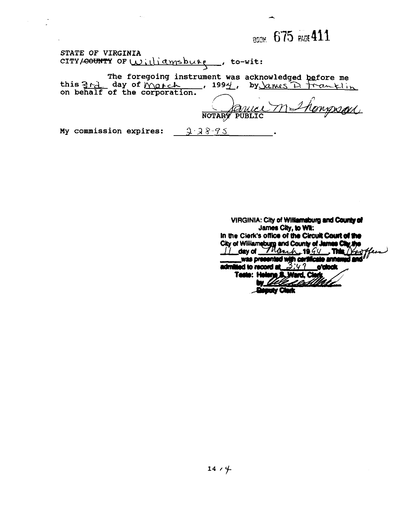**STATE OF VIRGINIA**  STATE OF VIRGINIA<br>CITY/<del>COUNTY</del> OF <u>Williamsburg</u> , to-wit:

**The foregoing instrument was acknowledged**  The foregoing instrument was acknowledged<br>
this <u>3 A ay</u> of March , 1994, by <u>Anus D</u> **on behalf of the corporation.** 

Compoel NOTARY PUBLIC

**My commission expires:**  $\frac{1}{2}$   $38-95$ 

**VIRGINIA: City of Williamsburg and County of James City, to Wit:** In the Clerk's office of the Circuit **Court of the City of Williamsburg and County of James City the City of Williamsburg and County of James City the City of the County of James City the County of State of the County of t** admitted to record at  $3.97$  orders. Teste: Helene S. Ward, Cler Llett